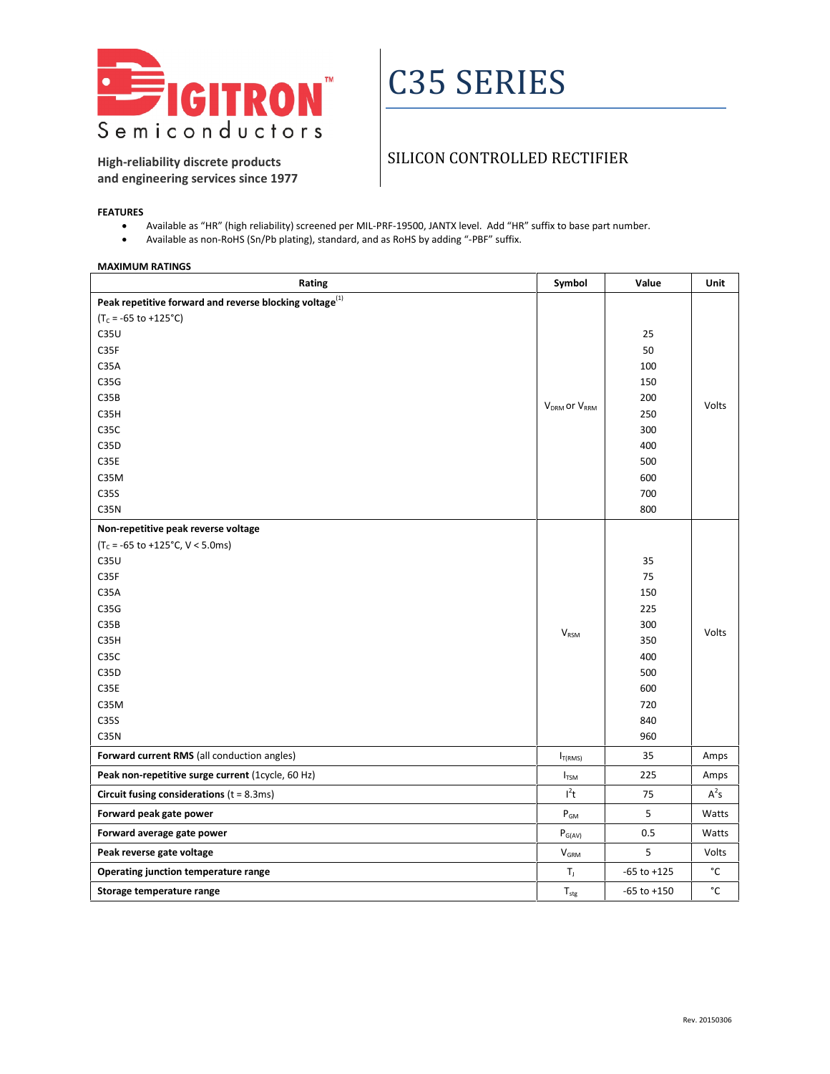

# C35 SERIES

**High-reliability discrete products and engineering services since 1977**

### SILICON CONTROLLED RECTIFIER

#### **FEATURES**

- Available as "HR" (high reliability) screened per MIL-PRF-19500, JANTX level. Add "HR" suffix to base part number.
- Available as non-RoHS (Sn/Pb plating), standard, and as RoHS by adding "-PBF" suffix.

#### **MAXIMUM RATINGS**

| Rating                                                        | Symbol                               | Value           | Unit   |
|---------------------------------------------------------------|--------------------------------------|-----------------|--------|
| Peak repetitive forward and reverse blocking voltage $^{(1)}$ |                                      |                 |        |
| $(T_c = -65$ to +125°C)                                       |                                      |                 |        |
| C35U                                                          |                                      | 25              | Volts  |
| C35F                                                          |                                      | 50              |        |
| C35A                                                          |                                      | 100             |        |
| C35G                                                          |                                      | 150             |        |
| C35B                                                          | V <sub>DRM</sub> or V <sub>RRM</sub> | 200             |        |
| C35H                                                          |                                      | 250             |        |
| C35C                                                          |                                      | 300             |        |
| C35D                                                          |                                      | 400             |        |
| C35E                                                          |                                      | 500             |        |
| C35M                                                          |                                      | 600             |        |
| C35S                                                          |                                      | 700             |        |
| C <sub>3</sub> 5N                                             |                                      | 800             |        |
| Non-repetitive peak reverse voltage                           |                                      |                 |        |
| $(T_c = -65$ to +125°C, V < 5.0ms)                            |                                      |                 |        |
| C35U                                                          |                                      | 35              | Volts  |
| C35F                                                          |                                      | 75              |        |
| C35A                                                          |                                      | 150             |        |
| C35G                                                          |                                      | 225             |        |
| C35B                                                          | <b>V</b> <sub>RSM</sub>              | 300             |        |
| C35H                                                          |                                      | 350             |        |
| C35C                                                          |                                      | 400             |        |
| C35D                                                          |                                      | 500             |        |
| C35E                                                          |                                      | 600             |        |
| C35M                                                          |                                      | 720             |        |
| C35S                                                          |                                      | 840             |        |
| C35N                                                          |                                      | 960             |        |
| Forward current RMS (all conduction angles)                   | $I_{T(RMS)}$                         | 35              | Amps   |
| Peak non-repetitive surge current (1cycle, 60 Hz)             | $I_{TSM}$                            | 225             | Amps   |
| Circuit fusing considerations $(t = 8.3 \text{ms})$           | $l^2t$                               | 75              | $A^2s$ |
| Forward peak gate power                                       | $P_{GM}$                             | 5               | Watts  |
| Forward average gate power                                    | $P_{G(AV)}$                          | 0.5             | Watts  |
| Peak reverse gate voltage                                     | <b>V<sub>GRM</sub></b>               | 5               | Volts  |
| Operating junction temperature range                          | $\mathsf{T}_{\mathrm{J}}$            | $-65$ to $+125$ | °C     |
| Storage temperature range                                     | $\mathsf{T}_{\text{stg}}$            | $-65$ to $+150$ | °C     |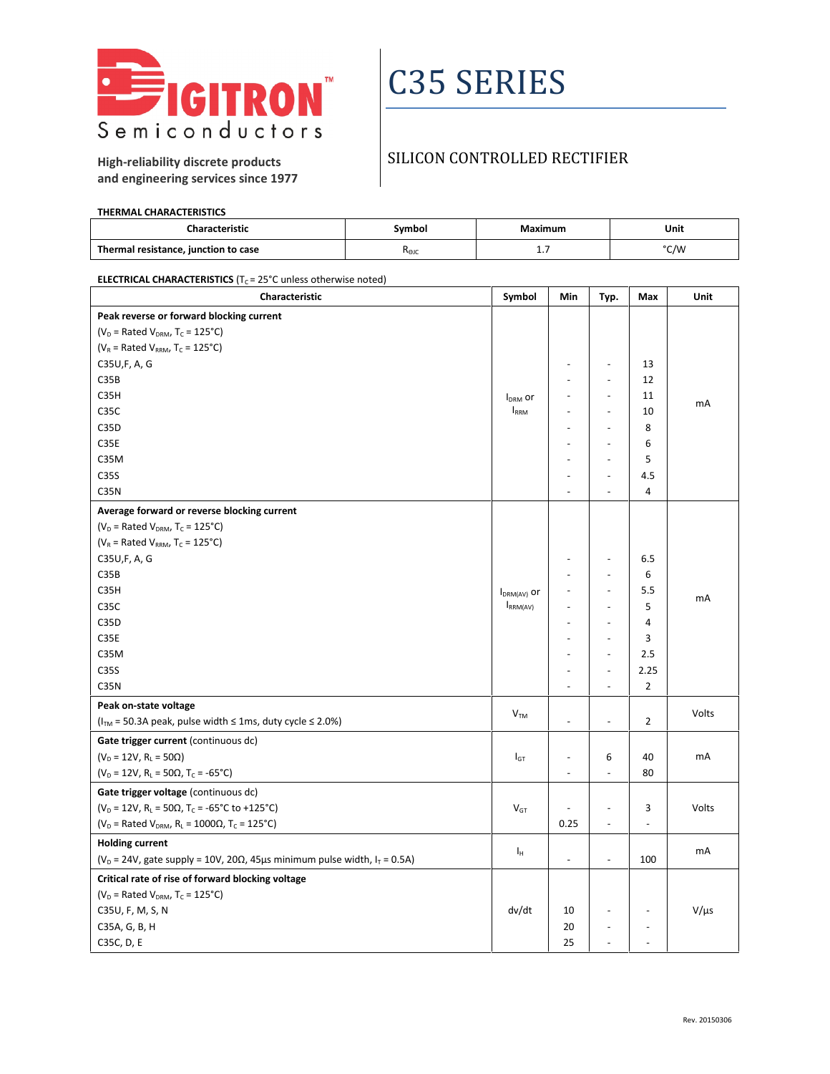

# C35 SERIES

## SILICON CONTROLLED RECTIFIER

**High-reliability discrete products and engineering services since 1977**

#### **THERMAL CHARACTERISTICS**

| ıaracteristic                        | iymbol | Maximum | Unit |  |
|--------------------------------------|--------|---------|------|--|
| Thermal resistance, junction to case | Rejo   | .       | °C/W |  |

**ELECTRICAL CHARACTERISTICS** ( $T_c$  = 25°C unless otherwise noted)

| Peak reverse or forward blocking current<br>( $V_D$ = Rated $V_{DRM}$ , T <sub>c</sub> = 125°C)<br>( $V_R$ = Rated $V_{RRM}$ , T <sub>c</sub> = 125°C)<br>C35U,F, A, G<br>13<br>L,<br>$\overline{\phantom{a}}$<br>C35B<br>12<br>$\overline{\phantom{a}}$<br>$\sim$<br>C35H<br>11<br>$\ddot{\phantom{a}}$<br>$\blacksquare$<br><b>I</b> <sub>DRM</sub> or<br>mA<br>C <sub>3</sub> 5C<br><b>IRRM</b><br>10<br>$\blacksquare$<br>C35D<br>8<br>$\overline{\phantom{a}}$<br>C35E<br>6<br>$\overline{a}$<br>C35M<br>5<br>$\overline{a}$<br>C35S<br>4.5<br>$\overline{a}$<br>÷,<br>C <sub>3</sub> 5N<br>4<br>L.<br>$\overline{\phantom{a}}$<br>Average forward or reverse blocking current<br>( $V_D$ = Rated $V_{DRM}$ , T <sub>c</sub> = 125°C)<br>( $V_R$ = Rated $V_{RRM}$ , T <sub>c</sub> = 125°C)<br>C35U,F, A, G<br>6.5<br>$\overline{a}$<br>÷<br>C35B<br>6<br>÷,<br>$\overline{\phantom{a}}$<br>C35H<br>5.5<br>$\overline{a}$<br>$\blacksquare$<br>$I_{DRM(AV)}$ or<br>mA<br>5<br>C35C<br>$I_{RRM(AV)}$<br>÷,<br>$\overline{a}$<br>C35D<br>4<br>$\ddot{\phantom{1}}$<br>$\sim$<br>C35E<br>3<br>$\overline{a}$<br>٠<br>C35M<br>2.5<br>L,<br>C35S<br>2.25<br>$\overline{\phantom{a}}$<br>$\overline{\phantom{a}}$<br>$\overline{2}$<br>C35N<br>$\overline{\phantom{a}}$<br>L.<br>Peak on-state voltage<br>$\mathsf{V}_{\mathsf{TM}}$<br>Volts<br>( $ITM$ = 50.3A peak, pulse width $\leq$ 1ms, duty cycle $\leq$ 2.0%)<br>$\overline{2}$<br>$\overline{\phantom{a}}$<br>ä,<br>Gate trigger current (continuous dc)<br>$(V_D = 12V, R_L = 50\Omega)$<br>6<br>40<br>mA<br>$I_{GT}$<br>$\ddot{\phantom{a}}$<br>$(V_D = 12V, R_L = 50\Omega, T_C = -65^{\circ}C)$<br>80<br>$\overline{\phantom{a}}$<br>$\overline{\phantom{a}}$ |
|-----------------------------------------------------------------------------------------------------------------------------------------------------------------------------------------------------------------------------------------------------------------------------------------------------------------------------------------------------------------------------------------------------------------------------------------------------------------------------------------------------------------------------------------------------------------------------------------------------------------------------------------------------------------------------------------------------------------------------------------------------------------------------------------------------------------------------------------------------------------------------------------------------------------------------------------------------------------------------------------------------------------------------------------------------------------------------------------------------------------------------------------------------------------------------------------------------------------------------------------------------------------------------------------------------------------------------------------------------------------------------------------------------------------------------------------------------------------------------------------------------------------------------------------------------------------------------------------------------------------------------------------------------------------------------------------------------------------------------|
|                                                                                                                                                                                                                                                                                                                                                                                                                                                                                                                                                                                                                                                                                                                                                                                                                                                                                                                                                                                                                                                                                                                                                                                                                                                                                                                                                                                                                                                                                                                                                                                                                                                                                                                             |
|                                                                                                                                                                                                                                                                                                                                                                                                                                                                                                                                                                                                                                                                                                                                                                                                                                                                                                                                                                                                                                                                                                                                                                                                                                                                                                                                                                                                                                                                                                                                                                                                                                                                                                                             |
|                                                                                                                                                                                                                                                                                                                                                                                                                                                                                                                                                                                                                                                                                                                                                                                                                                                                                                                                                                                                                                                                                                                                                                                                                                                                                                                                                                                                                                                                                                                                                                                                                                                                                                                             |
|                                                                                                                                                                                                                                                                                                                                                                                                                                                                                                                                                                                                                                                                                                                                                                                                                                                                                                                                                                                                                                                                                                                                                                                                                                                                                                                                                                                                                                                                                                                                                                                                                                                                                                                             |
|                                                                                                                                                                                                                                                                                                                                                                                                                                                                                                                                                                                                                                                                                                                                                                                                                                                                                                                                                                                                                                                                                                                                                                                                                                                                                                                                                                                                                                                                                                                                                                                                                                                                                                                             |
|                                                                                                                                                                                                                                                                                                                                                                                                                                                                                                                                                                                                                                                                                                                                                                                                                                                                                                                                                                                                                                                                                                                                                                                                                                                                                                                                                                                                                                                                                                                                                                                                                                                                                                                             |
|                                                                                                                                                                                                                                                                                                                                                                                                                                                                                                                                                                                                                                                                                                                                                                                                                                                                                                                                                                                                                                                                                                                                                                                                                                                                                                                                                                                                                                                                                                                                                                                                                                                                                                                             |
|                                                                                                                                                                                                                                                                                                                                                                                                                                                                                                                                                                                                                                                                                                                                                                                                                                                                                                                                                                                                                                                                                                                                                                                                                                                                                                                                                                                                                                                                                                                                                                                                                                                                                                                             |
|                                                                                                                                                                                                                                                                                                                                                                                                                                                                                                                                                                                                                                                                                                                                                                                                                                                                                                                                                                                                                                                                                                                                                                                                                                                                                                                                                                                                                                                                                                                                                                                                                                                                                                                             |
|                                                                                                                                                                                                                                                                                                                                                                                                                                                                                                                                                                                                                                                                                                                                                                                                                                                                                                                                                                                                                                                                                                                                                                                                                                                                                                                                                                                                                                                                                                                                                                                                                                                                                                                             |
|                                                                                                                                                                                                                                                                                                                                                                                                                                                                                                                                                                                                                                                                                                                                                                                                                                                                                                                                                                                                                                                                                                                                                                                                                                                                                                                                                                                                                                                                                                                                                                                                                                                                                                                             |
|                                                                                                                                                                                                                                                                                                                                                                                                                                                                                                                                                                                                                                                                                                                                                                                                                                                                                                                                                                                                                                                                                                                                                                                                                                                                                                                                                                                                                                                                                                                                                                                                                                                                                                                             |
|                                                                                                                                                                                                                                                                                                                                                                                                                                                                                                                                                                                                                                                                                                                                                                                                                                                                                                                                                                                                                                                                                                                                                                                                                                                                                                                                                                                                                                                                                                                                                                                                                                                                                                                             |
|                                                                                                                                                                                                                                                                                                                                                                                                                                                                                                                                                                                                                                                                                                                                                                                                                                                                                                                                                                                                                                                                                                                                                                                                                                                                                                                                                                                                                                                                                                                                                                                                                                                                                                                             |
|                                                                                                                                                                                                                                                                                                                                                                                                                                                                                                                                                                                                                                                                                                                                                                                                                                                                                                                                                                                                                                                                                                                                                                                                                                                                                                                                                                                                                                                                                                                                                                                                                                                                                                                             |
|                                                                                                                                                                                                                                                                                                                                                                                                                                                                                                                                                                                                                                                                                                                                                                                                                                                                                                                                                                                                                                                                                                                                                                                                                                                                                                                                                                                                                                                                                                                                                                                                                                                                                                                             |
|                                                                                                                                                                                                                                                                                                                                                                                                                                                                                                                                                                                                                                                                                                                                                                                                                                                                                                                                                                                                                                                                                                                                                                                                                                                                                                                                                                                                                                                                                                                                                                                                                                                                                                                             |
|                                                                                                                                                                                                                                                                                                                                                                                                                                                                                                                                                                                                                                                                                                                                                                                                                                                                                                                                                                                                                                                                                                                                                                                                                                                                                                                                                                                                                                                                                                                                                                                                                                                                                                                             |
|                                                                                                                                                                                                                                                                                                                                                                                                                                                                                                                                                                                                                                                                                                                                                                                                                                                                                                                                                                                                                                                                                                                                                                                                                                                                                                                                                                                                                                                                                                                                                                                                                                                                                                                             |
|                                                                                                                                                                                                                                                                                                                                                                                                                                                                                                                                                                                                                                                                                                                                                                                                                                                                                                                                                                                                                                                                                                                                                                                                                                                                                                                                                                                                                                                                                                                                                                                                                                                                                                                             |
|                                                                                                                                                                                                                                                                                                                                                                                                                                                                                                                                                                                                                                                                                                                                                                                                                                                                                                                                                                                                                                                                                                                                                                                                                                                                                                                                                                                                                                                                                                                                                                                                                                                                                                                             |
|                                                                                                                                                                                                                                                                                                                                                                                                                                                                                                                                                                                                                                                                                                                                                                                                                                                                                                                                                                                                                                                                                                                                                                                                                                                                                                                                                                                                                                                                                                                                                                                                                                                                                                                             |
|                                                                                                                                                                                                                                                                                                                                                                                                                                                                                                                                                                                                                                                                                                                                                                                                                                                                                                                                                                                                                                                                                                                                                                                                                                                                                                                                                                                                                                                                                                                                                                                                                                                                                                                             |
|                                                                                                                                                                                                                                                                                                                                                                                                                                                                                                                                                                                                                                                                                                                                                                                                                                                                                                                                                                                                                                                                                                                                                                                                                                                                                                                                                                                                                                                                                                                                                                                                                                                                                                                             |
|                                                                                                                                                                                                                                                                                                                                                                                                                                                                                                                                                                                                                                                                                                                                                                                                                                                                                                                                                                                                                                                                                                                                                                                                                                                                                                                                                                                                                                                                                                                                                                                                                                                                                                                             |
|                                                                                                                                                                                                                                                                                                                                                                                                                                                                                                                                                                                                                                                                                                                                                                                                                                                                                                                                                                                                                                                                                                                                                                                                                                                                                                                                                                                                                                                                                                                                                                                                                                                                                                                             |
|                                                                                                                                                                                                                                                                                                                                                                                                                                                                                                                                                                                                                                                                                                                                                                                                                                                                                                                                                                                                                                                                                                                                                                                                                                                                                                                                                                                                                                                                                                                                                                                                                                                                                                                             |
|                                                                                                                                                                                                                                                                                                                                                                                                                                                                                                                                                                                                                                                                                                                                                                                                                                                                                                                                                                                                                                                                                                                                                                                                                                                                                                                                                                                                                                                                                                                                                                                                                                                                                                                             |
|                                                                                                                                                                                                                                                                                                                                                                                                                                                                                                                                                                                                                                                                                                                                                                                                                                                                                                                                                                                                                                                                                                                                                                                                                                                                                                                                                                                                                                                                                                                                                                                                                                                                                                                             |
| Gate trigger voltage (continuous dc)                                                                                                                                                                                                                                                                                                                                                                                                                                                                                                                                                                                                                                                                                                                                                                                                                                                                                                                                                                                                                                                                                                                                                                                                                                                                                                                                                                                                                                                                                                                                                                                                                                                                                        |
| ( $V_D = 12V$ , R <sub>L</sub> = 50 $\Omega$ , T <sub>C</sub> = -65°C to +125°C)<br>Volts<br>V <sub>GT</sub><br>3<br>$\overline{a}$<br>$\qquad \qquad \blacksquare$                                                                                                                                                                                                                                                                                                                                                                                                                                                                                                                                                                                                                                                                                                                                                                                                                                                                                                                                                                                                                                                                                                                                                                                                                                                                                                                                                                                                                                                                                                                                                         |
| ( $V_D$ = Rated $V_{DRM}$ , R <sub>L</sub> = 1000 $\Omega$ , T <sub>C</sub> = 125°C)<br>0.25<br>$\blacksquare$<br>$\Box$                                                                                                                                                                                                                                                                                                                                                                                                                                                                                                                                                                                                                                                                                                                                                                                                                                                                                                                                                                                                                                                                                                                                                                                                                                                                                                                                                                                                                                                                                                                                                                                                    |
| <b>Holding current</b>                                                                                                                                                                                                                                                                                                                                                                                                                                                                                                                                                                                                                                                                                                                                                                                                                                                                                                                                                                                                                                                                                                                                                                                                                                                                                                                                                                                                                                                                                                                                                                                                                                                                                                      |
| mA<br>Iн<br>( $V_D$ = 24V, gate supply = 10V, 20 $\Omega$ , 45µs minimum pulse width, $I_T$ = 0.5A)<br>100<br>$\overline{\phantom{a}}$<br>$\overline{\phantom{a}}$                                                                                                                                                                                                                                                                                                                                                                                                                                                                                                                                                                                                                                                                                                                                                                                                                                                                                                                                                                                                                                                                                                                                                                                                                                                                                                                                                                                                                                                                                                                                                          |
| Critical rate of rise of forward blocking voltage                                                                                                                                                                                                                                                                                                                                                                                                                                                                                                                                                                                                                                                                                                                                                                                                                                                                                                                                                                                                                                                                                                                                                                                                                                                                                                                                                                                                                                                                                                                                                                                                                                                                           |
| ( $V_D$ = Rated $V_{DRM}$ , T <sub>C</sub> = 125°C)                                                                                                                                                                                                                                                                                                                                                                                                                                                                                                                                                                                                                                                                                                                                                                                                                                                                                                                                                                                                                                                                                                                                                                                                                                                                                                                                                                                                                                                                                                                                                                                                                                                                         |
| dv/dt<br>$V/\mu s$<br>C35U, F, M, S, N<br>10<br>$\blacksquare$<br>$\overline{\phantom{a}}$                                                                                                                                                                                                                                                                                                                                                                                                                                                                                                                                                                                                                                                                                                                                                                                                                                                                                                                                                                                                                                                                                                                                                                                                                                                                                                                                                                                                                                                                                                                                                                                                                                  |
| 20<br>C35A, G, B, H<br>$\overline{\phantom{a}}$<br>$\blacksquare$                                                                                                                                                                                                                                                                                                                                                                                                                                                                                                                                                                                                                                                                                                                                                                                                                                                                                                                                                                                                                                                                                                                                                                                                                                                                                                                                                                                                                                                                                                                                                                                                                                                           |
| 25<br>C35C, D, E<br>$\overline{a}$<br>$\overline{\phantom{a}}$                                                                                                                                                                                                                                                                                                                                                                                                                                                                                                                                                                                                                                                                                                                                                                                                                                                                                                                                                                                                                                                                                                                                                                                                                                                                                                                                                                                                                                                                                                                                                                                                                                                              |